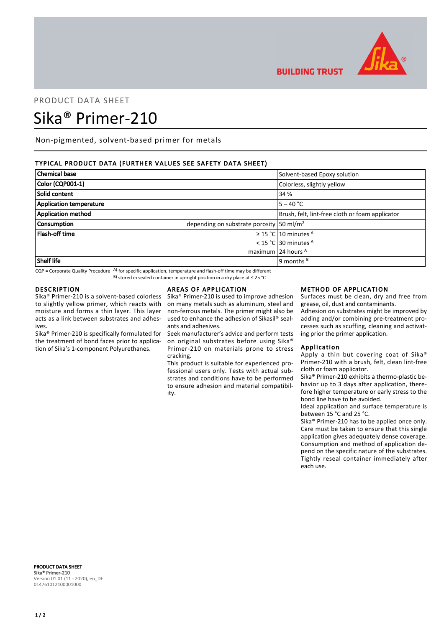

# PRODUCT DATA SHEET Sika® Primer-210

Non-pigmented, solvent-based primer for metals

# TYPICAL PRODUCT DATA (FURTHER VALUES SEE SAFETY DATA SHEET)

| <b>Chemical base</b>           | Solvent-based Epoxy solution                             |
|--------------------------------|----------------------------------------------------------|
| Color (CQP001-1)               | Colorless, slightly yellow                               |
| Solid content                  | 34 %                                                     |
| <b>Application temperature</b> | $5 - 40 °C$                                              |
| <b>Application method</b>      | Brush, felt, lint-free cloth or foam applicator          |
| <b>Consumption</b>             | depending on substrate porosity $\frac{50 \text{ m}}{2}$ |
| <b>Flash-off time</b>          | $\geq$ 15 °C 10 minutes <sup>A</sup>                     |
|                                | < 15 °C 30 minutes $A$                                   |
|                                | maximum 24 hours $A$                                     |
| Shelf life                     | 9 months $B$                                             |

 $CQP$  = Corporate Quality Procedure  $AP$  for specific application, temperature and flash-off time may be different B) stored in sealed container in up-right position in a dry place at ≤ 25 °C

## DESCRIPTION

Sika® Primer-210 is a solvent-based colorless to slightly yellow primer, which reacts with moisture and forms a thin layer. This layer acts as a link between substrates and adhesives.

Sika® Primer-210 is specifically formulated for the treatment of bond faces prior to application of Sika's 1-component Polyurethanes.

## AREAS OF APPLICATION

Sika® Primer-210 is used to improve adhesion on many metals such as aluminum, steel and non-ferrous metals. The primer might also be used to enhance the adhesion of Sikasil® sealants and adhesives.

Seek manufacturer's advice and perform tests on original substrates before using Sika® Primer-210 on materials prone to stress cracking.

This product is suitable for experienced professional users only. Tests with actual substrates and conditions have to be performed to ensure adhesion and material compatibility.

## METHOD OF APPLICATION

Surfaces must be clean, dry and free from grease, oil, dust and contaminants.

Adhesion on substrates might be improved by adding and/or combining pre-treatment processes such as scuffing, cleaning and activating prior the primer application.

## Application

**BUILDING TRUST** 

Apply a thin but covering coat of Sika® Primer-210 with a brush, felt, clean lint-free cloth or foam applicator.

Sika® Primer-210 exhibits a thermo-plastic behavior up to 3 days after application, therefore higher temperature or early stress to the bond line have to be avoided.

Ideal application and surface temperature is between 15 °C and 25 °C.

Sika® Primer-210 has to be applied once only. Care must be taken to ensure that this single application gives adequately dense coverage. Consumption and method of application depend on the specific nature of the substrates. Tightly reseal container immediately after each use.

PRODUCT DATA SHEET Sika® Primer-210 Version 01.01 (11 - 2020), en\_DE 014761012100001000